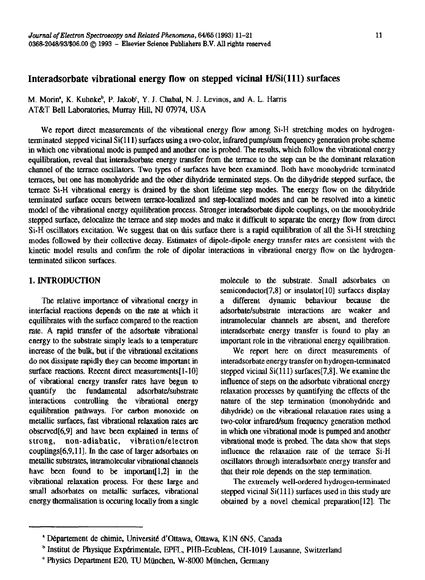# **Interadsorbate vibrational energy flow on stepped vicinal WSi(ll1) surfaces**

M. Morin<sup>a</sup>, K. Kuhnke<sup>b</sup>, P. Jakob<sup>c</sup>, Y. J. Chabal, N. J. Levinos, and A. L. Harris AT&T Bell Laboratories, Murray Hill, NJ 07974, USA

We report direct measurements of the vibrational energy flow among Si-H stretching modes on hydrogenterminated stepped vicinal Si(111) surfaces using a two-color, infrared pump/sum frequency generation probe scheme in which one vibrational mode is pumped and another one is probed. The results, which follow the vibrational energy equilibration, reveal that interadsorbate energy transfer from the terrace to the step can be the dominant relaxation channel of the terrace oscillators. Two types of surfaces have been examined. Both have monohydride terminated terraces, but one has monohydride and the other dihydride terminated steps. On the dihydride stepped surface, the terrace Si-H vibrational energy is drained by the short lifetime step modes. The energy flow on the dihydride terminated surface occurs between terrace-localized and step-localized modes and can be resolved into a kinetic model of the vibrational energy equilibration process. Stronger interadsorbate dipole couplings, on the monohydride stepped surface, delocalize the terrace and step modes and make it difficult to separate the energy flow from direct Si-H oscillators excitation. We suggest that on this surface there is a rapid equilibration of all the Si-H stretching modes followed by their collective decay. Estimates of dipole-dipole energy transfer rates are consistent with the kinetic model results and confirm the role of dipolar interactions in vibrational energy flow on the hydrogenterminated silicon surfaces,

## 1. INTRODUCTION

The relative importance of vibrational energy in interfacial reactions depends on the rate at which it equilibrates with the surface compared to the reaction rate. A rapid transfer of the adsorbate vibrational energy to the substrate simply leads to a temperature increase of the bulk, but if the vibrational excitations do not dissipate rapidly they can become important in surface reactions. Recent direct measurements[1-10] of vibrational energy transfer rates have begun to quantify the fundamental adsorbate/substrate interactions controlling the vibrational energy equilibration pathways. For carbon monoxide on metallic surfaces, fast VibrationaI relaxation rates are obscrved[6,9] and have heen explained in terms of strong, non-adiabatic, vibration/electron couplings[6,9,11]. In the case of larger adsorbates on metallic substrates, intramolecular vibrational channels have been found to be important  $[1,2]$  in the vibrational relaxation process. For these large and small adsorbates on metallic surfaces, vibrational energy tbermalisation is occuring **locally** from a single molecule to the substrate. Small adsorbates on semiconductor $[7,8]$  or insulator $[10]$  surfaces display a different dynamic behaviour because tie adsorbate/substrate interactions are weaker and intramolecular channels are absent, and therefore intcradsorbate energy transfer is found to play an important role in the vibrational energy equilibration.

We report here on direct measurements of interadsorbate energy transfer on hydrogen-terminated stepped vicinal  $Si(111)$  surfaces [7,8]. We examine the influence of steps on the adsorbate vibrational energy relaxation processes by quantifying the effects of the nature of the step termination (monohydride and dihydride) on the vibrational relaxation rates using a two-color infrared/sum frequency generation method in which one vibrational mode is pumped and another vibrational mode is probed. The data show that steps influence the relaxation rate of the terrace Si-H oscillators through interadsorbate energy transfer and that their role depends on the step termination.

The extremely well-ordered hydrogen-terminated stepped vicinal  $Si(111)$  surfaces used in this study are obtained by a novel chemical preparation[l2]. The

<sup>\*</sup> Departement de chimie. Universite d'ottawa, Ottawa, KlN 6N5, Canada

b Institut de Physique Exp&imentale, EPFL, PUB-Ecublens, CH-1019 **Lausanne,** Switzerland

<sup>&#</sup>x27; Physics Department E20, TU Miinchen, W-8000 Mtinchen, Germany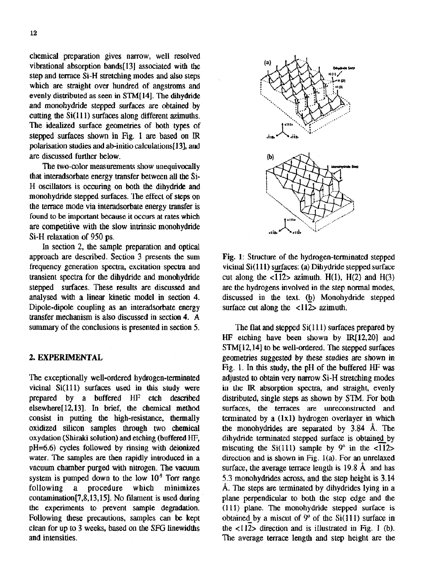chemical preparation gives narrow, well resolved vibrational absorption bands[l3] associated with the step and terrace Si-H stretching modes and also steps which are straight over hundred of angstroms and evenly distributed as seen in STM[ 141. The dihydride and monohydride stepped surfaces are obtained by cutting the  $Si(111)$  surfaces along different azimuths. The idealized surface geometries of both types of stepped surfaces shown in Fig. 1 are based on IR polarisation studies and ab-initio calculations[13], and are discussed further below.

The two-color measurements show unequivocally that interadsorbate energy transfer between all the Si-H oscillators is occuring on both the dihydride and monohydride stepped surfaces. The effect of steps on the terrace mode via interadsorbate energy transfer is found to be important **because it occurs at** rates which are competitive with the slow intrinsic monohydride Si-H relaxation of 950 ps.

In section 2, the sample preparation and optical approach are described. Section 3 presents the sum frequency generation spectra, excitation spectra and transient spectra for the dihydride and monohydride stepped surfaces. These results are discussed and analysed with a linear kinetic model in section 4. Dipole-dipole coupling as an interadsorbate **energy**  transfer mechanism is also discussed in section 4. A summary of the conclusions is presented in **section 5.** 

### 2. EXPERIMENTAL

The exceptionally well-ordered hydrogen-terminated vicinal Si(ll1) surfaces used in this study were prepared by a buffered HF etch described elsewhere[ 12,13]. In brief, the chemical method consist in putting the high-resistance, thermally oxidized silicon samples through two chemical oxydation (Shiraki solution) and etching (buffered HF, pH=6.6) cycles followed by rinsing with deionized water. The samples are then rapidly introduced in a vacuum chamber purged with nitrogen. The vacuum system is pumped down to the low  $10<sup>-9</sup>$  Torr range following a procedure which minimizes contamination[7,8,13,15]. No filament is used during the experiments to prevent sample degradation. Following these precautions, samples can be kept clean for up to 3 weeks, based on the SFG linewidths and intensities.



Fig. 1: Structure of the hydrogen-terminated stepped vicinal Si(ll1) surfaces: (a) Dihydride stepped surface cut along the  $\langle \overline{112} \rangle$  azimuth. H(1), H(2) and H(3) are the hydrogens involved in the step normal modes, discussed in the text. (b) Monohydride stepped surface cut along the  $\langle 112 \rangle$  azimuth.

The flat and stepped Si( 111) surfaces prepared by HF etching have been shown by IR[12,20] and STM[12,14] to be well-ordered. The stepped surfaces geometries suggested by these studies are shown in Fig. 1. In this study, the pH of the buffered HF was adjusted to obtain very narrow Si-H stretching modes in the IR absorption spectra, and straight, evenly distributed, single steps as shown by STM, For both surfaces, the terraces are unreconstructed and terminated by a (1x1) hydrogen overlayer in which the monohydrides are separated by 3.84 A. The dihydride terminated stepped surface is obtained by miscuting the  $Si(111)$  sample by  $9^{\circ}$  in the  $\langle 112 \rangle$ direction and is shown in Fig. l(a). For an unrelaxed surface, the average terrace length is  $19.8 \text{ Å}$  and has 5.3 monohydrides across, and the step height is 3.14 A. The steps are terminated by dihydrides lying in a plane perpendicular to both the step edge and the (111) plane. The monohydride stepped surface is obtained by a miscut of  $9^{\circ}$  of the Si(111) surface in the  $\langle 112 \rangle$  direction and is illustrated in Fig. 1 (b). The average terrace length and step height are the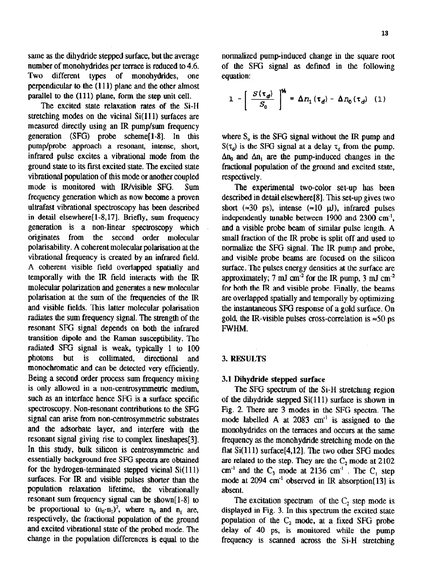same as the dihydride stepped surface, but the average number of monohydrides per terrace is reduced to 4.6. Two different types of monohydrides, one perpendicular to the (111) plane and the other almost parallel to the (111) plane, form the **step** unit cell.

The excited state relaxation **rates** of the Si-H stretching modes on the vicinal Si(111) surfaces are measured directly using an IR pump/sum frequency **generation** (SFG) probe scheme[l-81. In this pump/probe approach a resonant, intense, short, infrared pulse excites a vibrational mode from the ground state to its first excited state. The excited state vibrational population of this mode or another coupled mode is monitored **with** Wvisible SFG. Sum frequency generation which as now become a proven ultrafast vibrational spectroscopy has been described in detail elsewhere<sup>[1-8,17]</sup>. Briefly, sum frequency generation is a non-linear spectroscopy which<br>originates from the second order molecular second order molecular polarisability. A coherent molecular polarisation at the vibrational frequency is created by an infrared field. A coherent visible field overlapped spatially and temporally with the IR field interacts with the IR molecular polarization and generates a new molecular polarisation at the sum of the frequencies of the IR and visible fields. This latter molecular polarisation radiates the sum frequency signal. The strength of the resonant SFG signaI depends on both the infrared transition dipole and the Raman susceptibility. The radiated SFG signal is weak, typically 1 to 100 photons but is collimated, directional and monochromatic and can be detected very efficiently. Being a second order process sum frequency mixing is only allowed in a non-centrosymmetric medium, such as an interface hence SFG is a surface specific spectroscopy. Non-resonant contributions to the SFG signal can arise from non-centrosymmetric substrates and the adsorbate layer, and interfere with the resonant signal giving rise to complex lineshapes[f]. In this study, bulk silicon is centrosymmetric and essentially background free SFG spectra are obtained for the hydrogen-terminated stepped vicinal Si(111) surfaces. For IR and visible pulses shorter than the population relaxation lifetime, the vibrationally resonant sum frequency signal can be shown[ l-S] to be proportional to  $(n_0-n_1)^2$ , where  $n_0$  and  $n_1$  are, respectively, the fractional population of the ground and excited vibrational state of the probed mode. The change in the population differences is equal to the

normalized pump-induced change in the square root of the SFG signal as defined in the following equation:

$$
1 - \left[ \frac{S(\tau_d)}{S_0} \right]^{\mathcal{V}_t} = \Delta n_1 (\tau_d) - \Delta n_0 (\tau_d) \quad (1)
$$

where  $S<sub>o</sub>$  is the SFG signal without the IR pump and  $S(\tau_d)$  is the SFG signal at a delay  $\tau_d$  from the pump.  $\Delta n_0$  and  $\Delta n_1$  are the pump-induced changes in the fractional population of the ground and excited state, respectively.

The experimental two-color set-up has been described in detail elsewhere[8]. This set-up gives two short ( $\approx 30$  ps), intense ( $\approx 10$  µJ), infrared pulses independently tunable between 1900 and 2300 cm.', and a visible probe beam of similar pulse length. A small fraction of the IR probe is split off and **used** to normalize the SFG signal. The IR pump and probe, and visible probe beams are focused on the silicon surface. The pulses energy densities at the surface are approximately; 7 mJ cm<sup>-2</sup> for the IR pump, 3 mJ cm<sup>-2</sup> for both the IR and visible probe. Finally, the beams are overlapped spatially and temporally by optimizing the instantaneous SFG response of a gold surface. On gold, the IR-visible pulses cross-correlation is  $\approx 50$  ps FWHM.

#### 3. RESULTS

#### 3.1 **Dihydride stepped surface**

**The** SFG spectrum of the Si-H stretching region of the dihydride stepped  $Si(111)$  surface is shown in Fig. 2. There are 3 modes in the SFG spectra. The mode labelled A at 2083 cm<sup>-1</sup> is assigned to the monohydrides on the terraces and occurs at the same frequency as the monohydride stretching mode on the flat Si(ll1) surface[4,12]. The two other SFG modes are related to the step. They are the  $C_2$  mode at 2102  $cm<sup>-1</sup>$  and the  $C_3$  mode at 2136  $cm<sup>-1</sup>$ . The  $C_1$  step mode at 2094 cm<sup>-1</sup> observed in IR absorption[13] is absent.

The excitation spectrum of the  $C_2$  step mode is displayed in Fig. 3. In this spectrum the excited state population of the  $C_2$  mode, at a fixed SFG probe delay of 40 ps, is monitored while the pump frequency is scanned across the Si-H stretching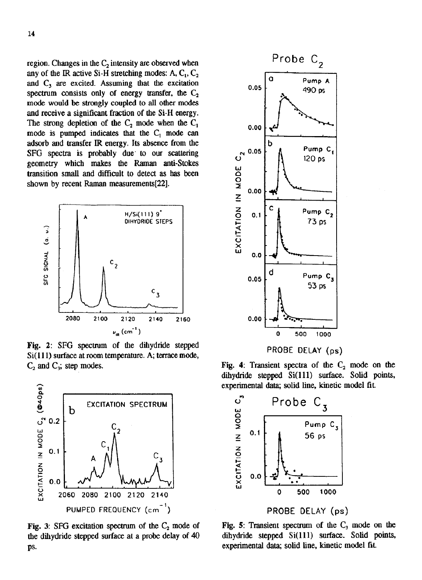region. Changes in the  $C_2$  intensity are observed when any of the IR active Si-H stretching modes: A,  $C_1$ ,  $C_2$ and  $C_3$  are excited. Assuming that the excitation spectrum consists only of energy transfer, the  $C_2$ mode would be strongly coupled to all other modes and receive a significant fraction of the Si-H energy. The strong depletion of the  $C_2$  mode when the  $C_1$ mode is pumped indicates that the  $C_1$  mode can adsorb and transfer IR energy. Its absence from the SFG spectra is probably due to our scattering geometry which makes the Raman anti-Stokes transition small and difficult to detect as has been shown by recent Raman measurements [22].



Fig. 2: SFG spectrum of the dihydride stepped Si(111) surface at room temperature. A; terrace mode,  $C_2$  and  $C_3$ ; step modes.



Fig. 3: SFG excitation spectrum of the  $C_2$  mode of the dihydride stepped surface at a probe delay of 40 ps.



Fig. 4: Transient spectra of the  $C_2$  mode on the dihydride stepped Si(111) surface. Solid points, experimental data; solid line, kinetic model fit.



Fig. 5: Transient spectrum of the  $C_3$  mode on the dihydride stepped Si(111) surface. Solid points, experimental data; solid line, kinetic model fit.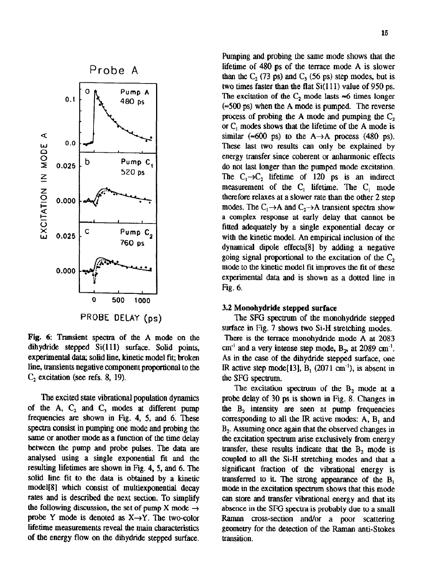

Fig. 6: Transient spectra of the A mode on the dihydride stepped Si(111) surface. Solid points, experimental data; solid line, kinetic model fit; broken line, transients negative component proportional to tbe  $C<sub>2</sub>$  excitation (see refs. 8, 19).

The excited state vibrational population dynamics of the A, **C,** and **C,** modes at different pump frequencies arc shown in Fig. 4, 5, and 6: These spectra consist in pumping one mode and probing the same or another mode as a function of the time delay between the pump and probe pulses. The data are analysed using a single exponential fit and the resulting lifetimes are shown in Fig. 4, 5, and 6. Tbe solid line fit **to the data is** obtained by a kinetic model[81 which consist of multiexponential decay rates and is described the next section. To simplify the following discussion, the set of pump X mode  $\rightarrow$ probe Y mode is denoted as  $X \rightarrow Y$ . The two-color lifetime measurements reveal the main characteristics of the **energy flow on the dihydride stepped** surface.

Pumping and probing the same mode shows that the lifetime of 480 ps of the terrace mode A is slower than the  $C_2$  (73 ps) and  $C_3$  (56 ps) step modes, but is two times faster than the flat  $Si(111)$  value of 950 ps. The excitation of the  $C_2$  mode lasts  $\approx$ 6 times longer  $(\approx 500 \text{ ps})$  when the A mode is pumped. The reverse process of probing the A mode and pumping the C, or  $C_1$  modes shows that the lifetime of the A mode is similar  $(*600 \text{ ps})$  to the A $\rightarrow$ A process (480 ps). These last two results can only be explained by energy transfer since coherent or anharmonic effects do not last longer than the pumped mode excitation. The  $C_1 \rightarrow C_2$  lifetime of 120 ps is an indirect measurement of the  $C_1$  lifetime. The  $C_1$  mode therefore relaxes at a slower rate than the other 2 step modes. The  $C_1 \rightarrow A$  and  $C_2 \rightarrow A$  transient spectra show a complex response at early delay that cannot be fitted adequately by a single exponential decay or with the kinetic model. An empirical inclusion of the dynamical dipole effccts[81 by adding a negative going signal proportional to the excitation of the  $C<sub>2</sub>$ mode to the kinetic model fit improves the fit of these experimental data and is shown as a dotted line in Fig. 6.

#### 3.2 **Monohydride stepped surface**

**The SFG spectrum** of the monohydride stepped surface in Fig. 7 shows two Si-H stretching modes. There is the terrace monohydride mode A at 2083  $cm^{-1}$  and a very intense step mode,  $B<sub>2</sub>$ , at 2089 cm<sup>-1</sup>. As in the case of the dihydride stepped surface, one IR active step mode[13],  $B_1$  (2071 cm<sup>-1</sup>), is absent in the SFG spectrum.

The excitation spectrum of the  $B_2$  mode at a probe delay of 30 ps is shown in Fig. 8. Changes in **the** B, intensity are seen at pump frequencies corresponding to all the IR active modes:  $A$ ,  $B$ , and  $B<sub>2</sub>$ . Assuming once again that the observed changes in the excitation spectrum arise exclusively from energy transfer, these results indicate that the  $B_2$  mode is coupled to all the Si-H stretching modes and that a significant fraction of the vibrational energy is transferred to it. The strong appearance of the  $B_1$ mode in the excitation spectrum shows that this mode can store and transfer vibrational energy and that its absence in the SFG spectrais probably due to a small Raman cross-section and/or a poor scattering geometry for the detection of the Raman anti-Stokes transition.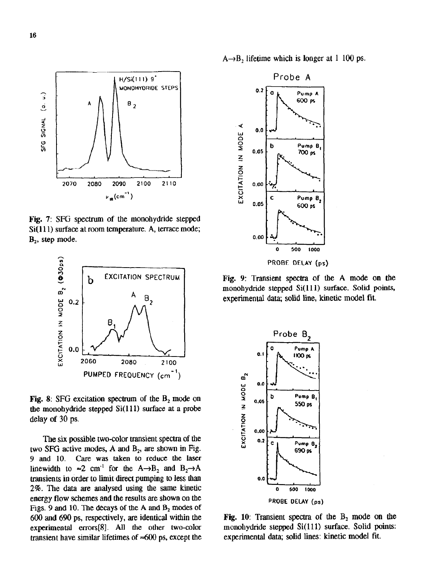

Fig. 7: SFG spectrum of the monohydride stepped Si(111) surface at room temperature. A, terrace mode;  $B<sub>2</sub>$ , step mode.



**Fig.** 8: SFG excitation spectrum of the  $B_2$  mode on the monohydride stepped  $Si(111)$  surface at a probe delay of 30 ps.

Tbe six possible two-color transient spectra of the two SFG active modes, A and  $B_2$ , are shown in Fig. 9 and 10. Care was taken to reduce the laser linewidth to  $\approx 2$  cm<sup>-1</sup> for the A $\rightarrow$ B<sub>2</sub> and B<sub>2</sub> $\rightarrow$ A transients in order to limit direct pumping to less than 2%. The data are analysed using the same kinetic energy flow schemes and the results are shown on the Figs. 9 and 10. The decays of the A and  $B_2$  modes of 600 **and 690** ps, respectively, are identical within the experimental errors[8]. All the other two-color transient have similar lifetimes of  $\approx 600$  ps, except the

 $A \rightarrow B$ , lifetime which is longer at 1 100 ps.



Fig. 9: Transient spectra of the A mode on the monohydride stepped Si(111) surface. Solid points, experimental data; solid line, kinetic model fit.



Fig. 10: Transient spectra of the  $B_2$  mode on the monohydride stepped Si(111) surface. Solid points: experimental data; solid lines: kinetic model fit.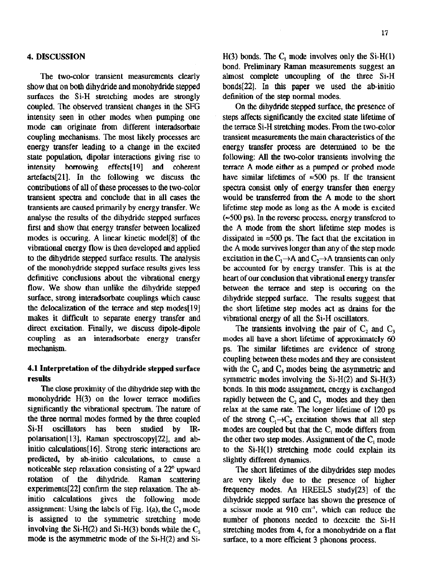### **4. DISCUSSION**

The two-color transient measurements clearly show that on both dihydride and monohydride stepped surfaces the Si-H stretching modes are strongly coupled. The observed transient changes in the SFG intensity seen in other modes when pumping one mode can originate from different interadsorbate coupling mechanisms. The most likely processes are energy transfer leading to a change in the excited state population, dipolar interactions giving rise to intensity borrowing effects[ 191 **and** coherent artefacts[21]. In the following we discuss the contributions of all of these processes to the two-color transient spectra and conclude that in all cases the transients are caused primarily by energy transfer. We analyse the results of the dihydride stepped surfaces first and show that energy transfer between localized modes is **occuring.** A linear kinetic model[B] of the vibrational energy flow is then developed and applied to the dihydride stepped surface results. The analysis of the monohydride stepped surface results gives less definitive conclusions about the vibrational energy flow. We show than unlike the dihydride stepped surface, strong interadsorbate couplings which cause the delocalization of the terrace and step **modes[l9]**  makes it difficult to separate energy transfer and direct excitation. Finally, we discuss dipole-dipole coupling as an interadsorbate energy transfer mechanism.

# **4.1 Interpretation of the dihydride stepped surface results**

**The** close proximity of the dihydride step with the monohydride  $H(3)$  on the lower terrace modifies significantly the vibrational spectrum. The nature of the three normal modes formed by the three coupled Si-H oscillators has been studied by IRpolarisation[13], Raman spectroscopy[22], and abinitio calculations[l6]. Strong steric interactions are predicted, by ab-initio calculations, to cause a noticeable step relaxation consisting of a 22" upward rotation of the dihydride. Raman scattering experiments $[22]$  confirm the step relaxation. The abinitio calculations gives the following mode assignment: Using the labels of Fig. 1(a), the  $C_3$  mode is assigned to the symmetric stretching mode involving the Si-H(2) and Si-H(3) bonds while the  $C_2$ mode is the asymmetric mode of the  $Si-H(2)$  and  $Si-H(3)$ 

 $H(3)$  bonds. The  $C_1$  mode involves only the Si- $H(1)$ bond. Preliminary Raman measurements suggest an almost complete uncoupling of the three Si-H bonds[22]. **In this** paper we used the ab-initio definition of the step normal modes.

On the dihydride stepped surface, the presence of steps affects significantly the excited state lifetime of the terrace Si-H stretching modes. From the two-color transient measurements the **main** characteristics of the energy transfer process are determined to be the following: All the two-color transients involving the terrace A mode either as a pumped or probed mode have similar lifetimes of  $\approx 500$  ps. If the transient spectra consist only of energy transfer then energy would be transferred from the A mode to the short **lifetime step** mode as long as the **A mode** is excited  $\approx$  500 ps). In the reverse process, energy transfered to the A mode from the short lifetime step modes is dissipated in  $\approx$ 500 ps. The fact that the excitation in the A mode survives longer than any of the step mode excitation in the  $C_1 \rightarrow A$  and  $C_2 \rightarrow A$  transients can only be accounted for by energy transfer. **This is** at the heart of our conclusion that vibrational energy transfer between the terrace and step is occuring on the dihydride stepped surface. The results suggest that the short lifetime step modes act as drains for the vibrational **energy** of all the Si-H oscillators.

The transients involving the pair of  $C_2$  and  $C_3$ modes all have a short lifetime of approximately 60 ps. The similar lifetimes are evidence of strong coupling between these modes and they are consistent with the  $C_2$  and  $C_3$  modes being the asymmetric and symmetric modes involving the Si-H(2) and Si-H(3) bonds. In this mode assignment, energy is exchanged rapidly between the  $C_2$  and  $C_3$  modes and they then **relax** at the same rate. The longer lifetime **of** 120 ps of the strong  $C_1 \rightarrow C_2$  excitation shows that all step **modes are coupled but that the** C, mode differs from the other two **step modes.** Assignment of the C, mode to the Si-H(1) stretching mode could explain its slightly different dynamics,

The short lifetimes of the dihydrides step modes are very likely due to the presence of higher frequency modes. An HREELS study[23] of the dihydride stepped surface has shown the presence of a scissor mode at 910 cm-', which can reduce the number of phonons needed to deexcite the Si-H stretching modes from 4, for a monohydride on a flat surface, to a more efficient 3 phonons process.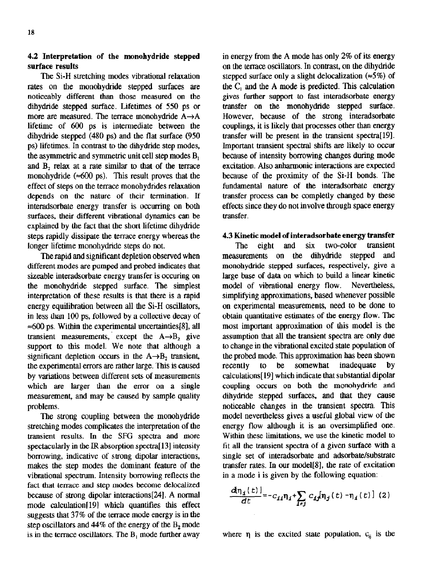## **4.2 Interpretation of the monohydride stepped surface results**

**The** Si-H stretching modes vibrational relaxation rates on the monohydride stepped surfaces are noticeably different than those measured on the dihydride stepped surface. Lifetimes of 550 ps or more are measured. The terrace monohydride  $A \rightarrow A$ lifetime of 600 ps is intermediate between the dihydride stepped (480 ps) and the flat surface (950 ps) lifetimes. In contrast to the dihydride step modes, the asymmetric and symmetric unit cell step **modes** B, and B<sub>2</sub> relax at a rate similar to that of the terrace monohydride ( $\approx 600$  ps). This result proves that the effect of steps on the terrace monohydrides relaxation depends on the nature of their termination. If interadsorbate energy transfer is occurring on both surfaces, their different vibrational dynamics can be explained by the fact that the short lifetime dihydride steps rapidly dissipate the terrace energy whereas the longer lifetime monobydride steps do not.

The rapid and significant depletion observed when different modes are pumped and probed indicates that sizeable interadsorbate energy transfer is occuring on the monohydride stepped surface. The simplest interpretation of these results is that there is a rapid energy equilibration between all the Si-H oscillators, in less than 100 ps, followed by a collective **decay** of  $\approx$  600 ps. Within the experimental uncertainties [8], all transient measurements, except the  $A \rightarrow B$ , give support to this model. We note that although a significant depletion occurs in the  $A \rightarrow B_2$  transient, the experimental errors are rather large. This is caused by variations between different sets of measurements which are larger than the error on a single measurement, and may be caused by sample quality problems.

The strong coupling between the monohydride stretching modes complicates the interpretation of the transient results. In the SFG spectra and more spectacularly in the lR **absorption** spectra[ 131 intensity borrowing, indicative of strong dipolar interactions, makes the step modes the dominant feature of the vibrational spectrum. Intensity borrowing reflects the fact that terrace and step modes become delocalized because of strong dipolar interactions[24]. A normal mode calculation[l9] which quantifies this effect suggests that 37% of the terrace mode energy is in the step oscillators and  $44\%$  of the energy of the  $B_2$  mode is in the terrace oscillators. The  $B_1$  mode further away

in energy from the A mode has only 2% of its energy on the terrace oscillators. In contrast, on the dihydride stepped surface only a slight delocalization  $(*5\%)$  of the C, and the A mode is predicted. This calculation **gives** further support to fast interadsorbate energy transfer on the monohydride stepped surface. However, because of the strong interadsorbate couplings, it is likely that processes other than energy transfer will be present in the transient spectra[l91. Important transient spectral shifts are likely to **occur**  because of intensity borrowing changes during mode excitation. Also anharmonic interactions are expected because of the proximity of the Si-H bonds. The fundamental nature of the interadsorbate energy transfer process can he completly changed by these effects since they do not involve through space energy transfer.

# 4.3 **Kinetic model of interadsorbate energy transfer**

**The eight** and six two-color transient measurements on the dihydride stepped and monohydride stepped surfaces, respectively, give a large base of data on which to build a linear kinetic model of vibrational energy flow. Nevertheless, simplifying approximations, based whenever possible on experimental **measurements,** need to be done to obtain quantitative estimates of the energy flow. The most important approximation of this model is the assumption that all the transient spectra are **only** due to change in the vibrational excited state population of the probed mode. This approximation has been shown<br>recently to be somewhat inadequate by recently to be somewhat inadequate by calculations[ 191 which indicate that substantial dipolar coupling occurs on both the monohydride and dihydride stepped surfaces, and that they cause noticeable changes in the transient spectra. This model nevertheless **gives** a useful global view of the energy flow although it is an oversimplified one. Within these limitations, we use the kinetic model to fit all the transient spectra of a given surface with a single set of interadsorbate and adsorbate/substrate transfer rates. In our mode1[8], the rate of excitation in a mode i is given by the following equation:

$$
\frac{d\eta_i(t)}{dt} = -c_{ij}\eta_i + \sum_{i \neq j} c_{ij} \eta_j(t) - \eta_i(t) \quad (2)
$$

where  $\eta$  is the excited state population,  $c_{ij}$  is the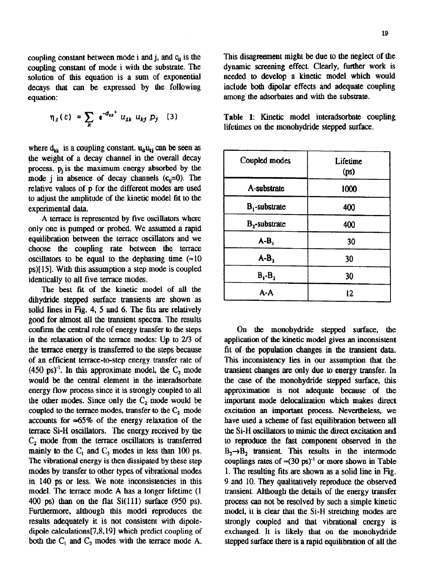**coupling** constant of mode i with the substrate. The **dynamic** screening effect Clearly, further work is solution of this equation is a sum of exponential decays that can be expressed by the following include both dipolar effects and adequate coupling equation: **and a substrate.** A set of the adsorbates and with the substrate.

$$
\eta_{1}(t) = \sum_{k} e^{-d_{kk}t} u_{1k} u_{kj} p_{j} \quad (3)
$$

where  $d_{kk}$  is a coupling constant.  $u_{kk}u_{ki}$  can be seen as the weight of a decay channel in the overall decay process.  $p_i$  is the maximum energy absorbed by the mode *j* in absence of decay channels  $(c_i=0)$ . The relative values of p for the different modes are used to adjust the amplitude of the kinetic model fit to the experimental data.

A terrace is represented by five oscillators where only one is pumped or probed. We assumed a rapid equilibration between the terrace oscillators and we choose the coupling rate between the terrace oscillators to be equal to the dephasing time  $(=10$ ps>[ 151. With this assumption a step mode is coupled identically to all five terrace modes.

The best fit of the **kinetic model of all the dihydridc stepped surface** transients are shown as solid lines in Fig. 4, 5 and 6. The fits are relatively good for almost all the transient spectra. The results confirm the central role of energy transfer to the steps in the relaxation of the terrace modes: Up to 2/3 of the terrace energy is transferred to the steps because of an efficient terrace-to-step energy transfer rate of  $(450 \text{ ps})^3$ . In this approximate model, the  $C_2$  mode would be the central element in the interadsorbate energy flow process since it is strongly coupled to all the other modes. Since only the  $C_2$  mode would be coupled to the terrace modes, transfer to the  $C_2$  mode accounts for  $\approx 65\%$  of the energy relaxation of the terrace Si-H oscillators. The energy received by the  $C<sub>2</sub>$  mode from the terrace oscillators is transferred mainly to the  $C_1$  and  $C_2$  modes in less than 100 ps. The vibrational energy is then dissipated by these step modes by transfer to other types of vibrational modes in 140 ps or less. We note inconsistencies in this model. The terrace mode A has a longer lifetime (1 400 ps) than on the flat Si(ll1) surface (950 ps). Furthermore, although this model reproduces the results adequately it is not consistent with dipoledipole calculations[7,8,191 which predict coupling of both the  $C_1$  and  $C_2$  modes with the terrace mode A.

coupling constant between mode i and j, and c<sub>ii</sub> is the This disagreement might be due to the neglect of the

**Table 1:** Kinetic model interadsorbate coupling lifetimes on the monohydride stepped surface.

| Coupled modes    | Lifetime<br>(ps) |
|------------------|------------------|
| A-substrate      | 1000             |
| $B_1$ -substrate | 400              |
| $B_2$ -substrate | 400              |
| $A-B$            | 30               |
| $A-B2$           | 30               |
| $B_1 - B_2$      | 30               |
| A-A              | 12               |

On the monohydride stepped surface, the application of the kinetic model gives an inconsistent fit of the population changes in the transient data. This inconsistency lies in our assumption that the transient changes are only due to energy transfer. In the case of the monohydride stepped surface, this approximation is not adequate because of the important mode delocalization which makes direct excitation an important process. Nevertheless, we have used a scheme of fast equilibration between all the Si-H **oscillators** to mimic the direct excitation and to reproduce the fast component observed in the  $B_2 \rightarrow B_2$  transient. This results in the intermode couplings rates of  $\approx (30 \text{ ps})^1$  or more shown in Table 1. The resulting fits are shown as a solid line in Fig. 9 and 10. They qualitatively reproduce the observed transient. Although the details of the energy transfer process can not he resolved by such a simple kinetic model, it is clear that the Si-H stretching modes are strongly coupled and that vibrational energy is exchanged. It is likely that on the monohydride stepped surface there is a rapid equilibration of all the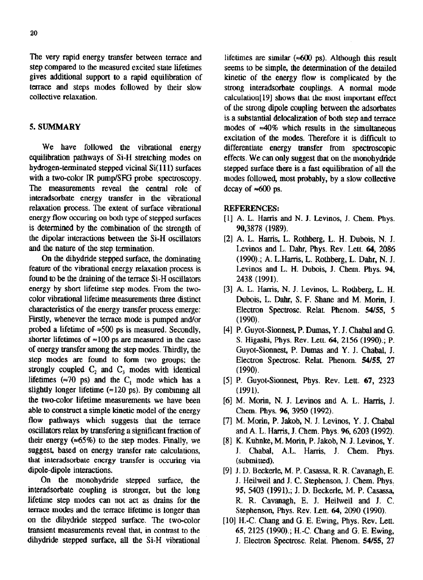The very rapid energy transfer between terrace and step compared to the measured excited state lifetimes gives additional support to a rapid equilibration of terrace and steps modes followed by their slow collective relaxation.

## 5. SUMMARY

We have followed the vibrational energy equilibration pathways of Si-H stretching modes on hydrogen-terminated stepped vicinal Si( 111) surfaces with a two-color IR pump/SFG probe spectroscopy. The measurements reveal the central role of interadsorbate energy transfer in the vibrational relaxation process. The extent of surface vibrational energy flow **amring** on both type of stepped surfaces is determined by the combination of the strength of the dipolar interactions between the Si-H oscillators and the nature of the step termination.

On the dihydride stepped surface, the dominating feature of the vibrational energy relaxation process is found to be the draining of the terrace Si-H oscillators energy by short lifetime step modes. From the twocolor vibrational lifetime measurements three distinct characteristics of the energy transfer process emerge: Firstly, whenever the terrace mode is pumped and/or probed a lifetime of  $\approx 500$  ps is measured. Secondly, shorter lifetimes of  $\approx 100$  ps are measured in the case of energy transfer among the step modes. Thirdly, the step modes are found to form two groups; the strongly coupled  $C_2$  and  $C_3$  modes with identical lifetimes ( $\approx$ 70 ps) and the C<sub>1</sub> mode which has a slightly longer lifetime  $(\approx 120 \text{ ps})$ . By combining all the two-color lifetime measurements we have been able to construct a simple kinetic model of the energy flow pathways which suggests that the terrace oscillators relax by transfering a significant fraction of their energy  $(*65\%)$  to the step modes. Finally, we suggest, based on energy transfer rate calculations, that interadsorbate energy transfer is occuring via dipole-dipole interactions.

On the monohydride stepped surface, the interadsorbate coupling is stronger, but the long lifetime step modes can not act as drains for the terrace modes and the terrace lifetime is longer than on the dihydride stepped surface. The two-color transient measurements reveal that, in contrast to the dihydride stepped surface, all the Si-H vibrational lifetimes are similar ( $\approx 600$  ps). Although this result seems to be simple, the determination of the detailed kinetic of the energy flow is complicated by the strong interadsorbate couplings. A normal mode calculation[l91 shows that the most important effect of the strong dipole coupling between the adsorbates is a **substantial delocalization** of both step and terrace modes of  $\approx 40\%$  which results in the simultaneous excitation of the modes. Therefore it is difficult to differentiate energy transfer from spectroscopic effects. We can only suggest that on the monohydride stepped surface there is a fast equilibration of all the modes followed, most probably, by a slow collective decay of  $\approx 600$  ps.

### REFERENCES:

- [l] A. L. Harris and N. J. Levinos, J. Chem. Phys. 90.3878 (1989).
- $[2]$  A. L. Harris, L. Rothberg, L. H. Dubois, N. J. Levinos and L. Dahr, Phys. Rev. Lett. 64, 2086 (1990).; A. L.Harris, L. Rothberg, L. Dahr, N. J. Levinos and L. H. Dubois, J. Chem. Phys. 94, 2438 (1991).
- [31 A. L. Harris, N. J, Levinos, L. Rothberg, L. H. Dubois, L. Dahr, S. F. Shane and M. Morin, J. Electron Spectrosc. Relat. Phenom. 54/55, 5 (1990).
- [4] P. Guyot-Sionnest, P. Dumas, Y. J. Chabal and G. S. Higashi, Phys. Rev. Lett. 64, 2156 (1990).; P. Guyot-Sionnest, P. Dumas and Y. J. Chabal, J. Electron Spectrosc. Relat. Phenom. 54/55, 27 (1990).
- [5] P. Guyot-Sionnest, Phys. Rev. Lett. 67, 2323 (1991).
- [63 M. Morin, N. J. Levinos and A. L. Harris, J. Chem. Phys. 96, 3950 (1992).
- [73 M. Motin, P. Jakob, N. J. Levinos, Y. J. Chabal and A. L. Harris, J. Chem. Phys. 96,6203 (1992).
- [8] K. Kuhnke, M. Morin, P. Jakob, N. J. Levinos, Y. J. ChabaJ, A.L. Harris, J. Chem. Phys. (submitted).
- [91 J. D. Beckerle, M. P. Casassa, R. R. Cavanagh, E. J. Heilweil and J. C. Stephenson, J. Chem. Phys. 95, 5403 (1991); J. D. Beckerle, M. P. Casassa, R. R. Cavanagh, E. J. Heilweil and J. C. Stephenson, Phys. Rev. Lett. 64, 2090 (1990).
- [10] H.-C. Chang and G. E. Ewing, Phys. Rev. Lett. 65, 2125 (1990).; H.-C. Chang and G. E. Ewing, J. Electron Spectrosc. Relat. Phenom. 54155, 27